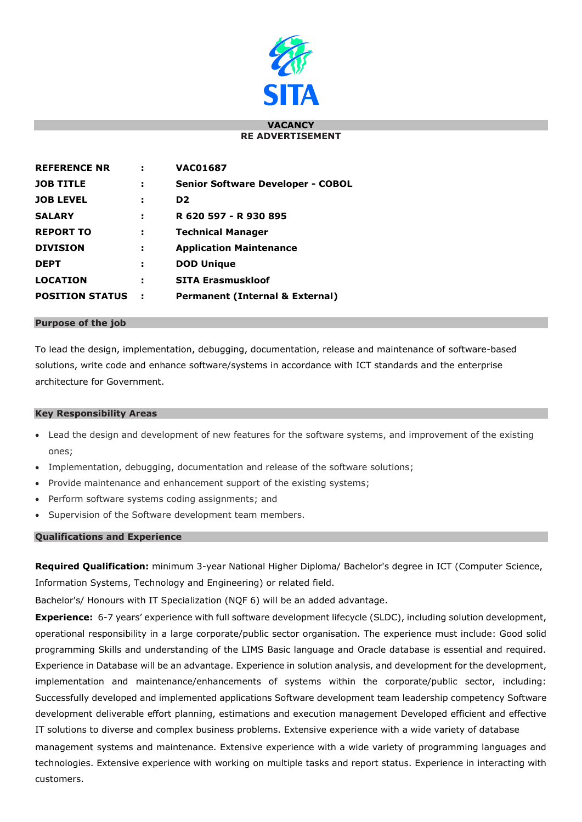

#### **VACANCY RE ADVERTISEMENT**

| <b>REFERENCE NR</b>    |   | <b>VAC01687</b>                            |
|------------------------|---|--------------------------------------------|
| <b>JOB TITLE</b>       | ÷ | <b>Senior Software Developer - COBOL</b>   |
| <b>JOB LEVEL</b>       |   | D <sub>2</sub>                             |
| <b>SALARY</b>          |   | R 620 597 - R 930 895                      |
| <b>REPORT TO</b>       | э | <b>Technical Manager</b>                   |
| <b>DIVISION</b>        | н | <b>Application Maintenance</b>             |
| <b>DEPT</b>            | э | <b>DOD Unique</b>                          |
| <b>LOCATION</b>        | э | <b>SITA Erasmuskloof</b>                   |
| <b>POSITION STATUS</b> |   | <b>Permanent (Internal &amp; External)</b> |

### **Purpose of the job**

To lead the design, implementation, debugging, documentation, release and maintenance of software-based solutions, write code and enhance software/systems in accordance with ICT standards and the enterprise architecture for Government.

### **Key Responsibility Areas**

- Lead the design and development of new features for the software systems, and improvement of the existing ones;
- Implementation, debugging, documentation and release of the software solutions;
- Provide maintenance and enhancement support of the existing systems;
- Perform software systems coding assignments; and
- Supervision of the Software development team members.

## **Qualifications and Experience**

**Required Qualification:** minimum 3-year National Higher Diploma/ Bachelor's degree in ICT (Computer Science, Information Systems, Technology and Engineering) or related field.

Bachelor's/ Honours with IT Specialization (NQF 6) will be an added advantage.

**Experience:** 6-7 years' experience with full software development lifecycle (SLDC), including solution development, operational responsibility in a large corporate/public sector organisation. The experience must include: Good solid programming Skills and understanding of the LIMS Basic language and Oracle database is essential and required. Experience in Database will be an advantage. Experience in solution analysis, and development for the development, implementation and maintenance/enhancements of systems within the corporate/public sector, including: Successfully developed and implemented applications Software development team leadership competency Software development deliverable effort planning, estimations and execution management Developed efficient and effective IT solutions to diverse and complex business problems. Extensive experience with a wide variety of database

management systems and maintenance. Extensive experience with a wide variety of programming languages and technologies. Extensive experience with working on multiple tasks and report status. Experience in interacting with customers.